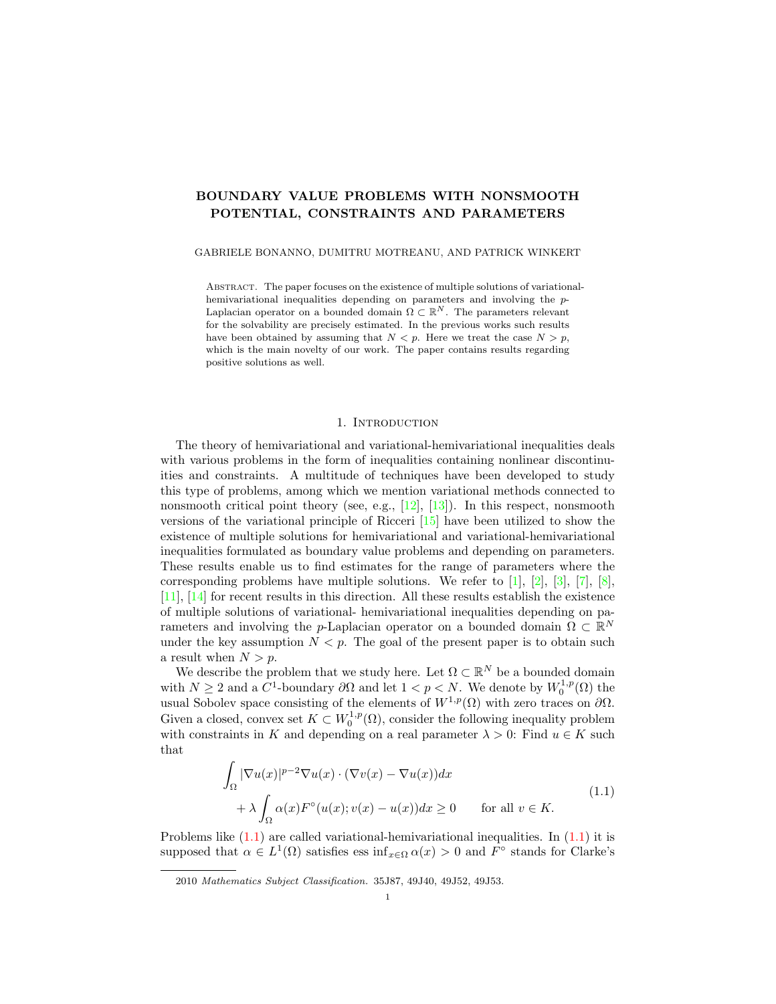# BOUNDARY VALUE PROBLEMS WITH NONSMOOTH POTENTIAL, CONSTRAINTS AND PARAMETERS

GABRIELE BONANNO, DUMITRU MOTREANU, AND PATRICK WINKERT

Abstract. The paper focuses on the existence of multiple solutions of variationalhemivariational inequalities depending on parameters and involving the p-Laplacian operator on a bounded domain  $\Omega \subset \mathbb{R}^N$ . The parameters relevant for the solvability are precisely estimated. In the previous works such results have been obtained by assuming that  $N < p$ . Here we treat the case  $N > p$ , which is the main novelty of our work. The paper contains results regarding positive solutions as well.

# 1. Introduction

<span id="page-0-1"></span>The theory of hemivariational and variational-hemivariational inequalities deals with various problems in the form of inequalities containing nonlinear discontinuities and constraints. A multitude of techniques have been developed to study this type of problems, among which we mention variational methods connected to nonsmooth critical point theory (see, e.g.,  $[12]$ ,  $[13]$ ). In this respect, nonsmooth versions of the variational principle of Ricceri [\[15\]](#page-10-2) have been utilized to show the existence of multiple solutions for hemivariational and variational-hemivariational inequalities formulated as boundary value problems and depending on parameters. These results enable us to find estimates for the range of parameters where the corresponding problems have multiple solutions. We refer to  $[1], [2], [3], [7], [8]$  $[1], [2], [3], [7], [8]$  $[1], [2], [3], [7], [8]$  $[1], [2], [3], [7], [8]$  $[1], [2], [3], [7], [8]$  $[1], [2], [3], [7], [8]$  $[1], [2], [3], [7], [8]$  $[1], [2], [3], [7], [8]$ , [\[11\]](#page-10-8), [\[14\]](#page-10-9) for recent results in this direction. All these results establish the existence of multiple solutions of variational- hemivariational inequalities depending on parameters and involving the p-Laplacian operator on a bounded domain  $\Omega \subset \mathbb{R}^N$ under the key assumption  $N < p$ . The goal of the present paper is to obtain such a result when  $N > p$ .

We describe the problem that we study here. Let  $\Omega \subset \mathbb{R}^N$  be a bounded domain with  $N \geq 2$  and a  $C^1$ -boundary  $\partial\Omega$  and let  $1 < p < N$ . We denote by  $W_0^{1,p}(\Omega)$  the usual Sobolev space consisting of the elements of  $W^{1,p}(\Omega)$  with zero traces on  $\partial\Omega$ . Given a closed, convex set  $K \subset W_0^{1,p}(\Omega)$ , consider the following inequality problem with constraints in K and depending on a real parameter  $\lambda > 0$ : Find  $u \in K$  such that

<span id="page-0-0"></span>
$$
\int_{\Omega} |\nabla u(x)|^{p-2} \nabla u(x) \cdot (\nabla v(x) - \nabla u(x)) dx
$$
\n
$$
+ \lambda \int_{\Omega} \alpha(x) F^{\circ}(u(x); v(x) - u(x)) dx \ge 0 \quad \text{for all } v \in K.
$$
\n(1.1)

Problems like  $(1.1)$  are called variational-hemivariational inequalities. In  $(1.1)$  it is supposed that  $\alpha \in L^1(\Omega)$  satisfies ess  $\inf_{x \in \Omega} \alpha(x) > 0$  and  $F^{\circ}$  stands for Clarke's

<sup>2010</sup> Mathematics Subject Classification. 35J87, 49J40, 49J52, 49J53.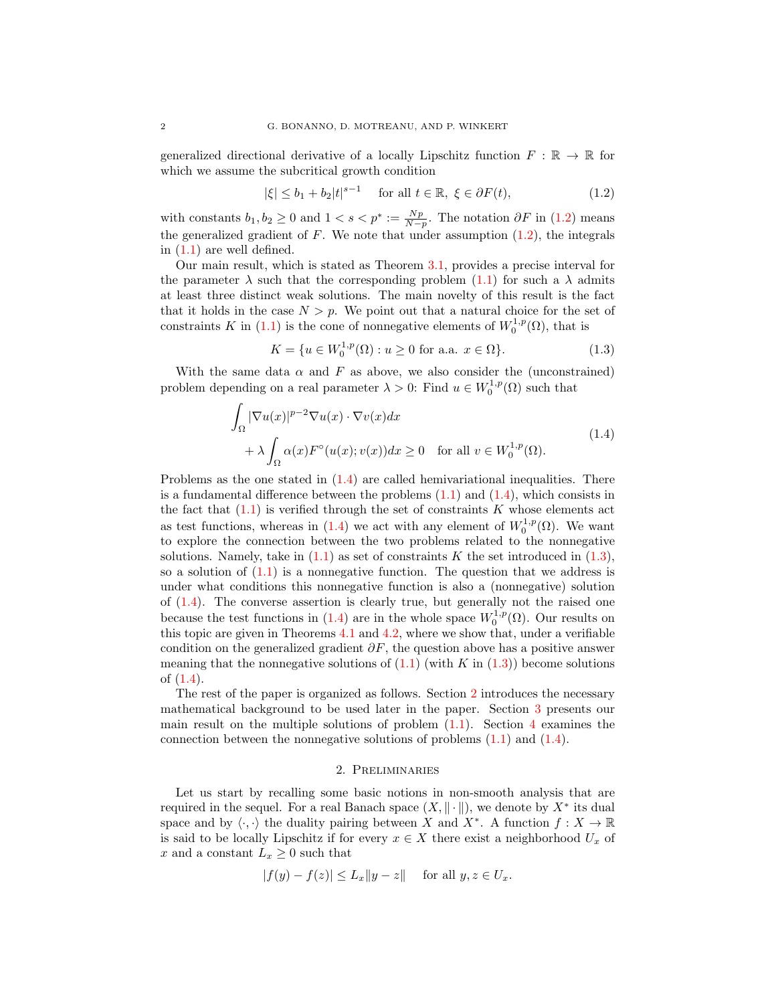generalized directional derivative of a locally Lipschitz function  $F : \mathbb{R} \to \mathbb{R}$  for which we assume the subcritical growth condition

<span id="page-1-0"></span>
$$
|\xi| \le b_1 + b_2 |t|^{s-1} \quad \text{for all } t \in \mathbb{R}, \ \xi \in \partial F(t), \tag{1.2}
$$

with constants  $b_1, b_2 \ge 0$  and  $1 < s < p^* := \frac{Np}{N-p}$ . The notation  $\partial F$  in [\(1.2\)](#page-1-0) means the generalized gradient of  $F$ . We note that under assumption  $(1.2)$ , the integrals in [\(1.1\)](#page-0-0) are well defined.

Our main result, which is stated as Theorem [3.1,](#page-3-0) provides a precise interval for the parameter  $\lambda$  such that the corresponding problem [\(1.1\)](#page-0-0) for such a  $\lambda$  admits at least three distinct weak solutions. The main novelty of this result is the fact that it holds in the case  $N > p$ . We point out that a natural choice for the set of constraints K in [\(1.1\)](#page-0-0) is the cone of nonnegative elements of  $W_0^{1,p}(\Omega)$ , that is

<span id="page-1-2"></span><span id="page-1-1"></span>
$$
K = \{ u \in W_0^{1,p}(\Omega) : u \ge 0 \text{ for a.a. } x \in \Omega \}. \tag{1.3}
$$

With the same data  $\alpha$  and F as above, we also consider the (unconstrained) problem depending on a real parameter  $\lambda > 0$ : Find  $u \in W_0^{1,p}(\Omega)$  such that

$$
\int_{\Omega} |\nabla u(x)|^{p-2} \nabla u(x) \cdot \nabla v(x) dx \n+ \lambda \int_{\Omega} \alpha(x) F^{\circ}(u(x); v(x)) dx \ge 0 \quad \text{for all } v \in W_0^{1,p}(\Omega).
$$
\n(1.4)

Problems as the one stated in [\(1.4\)](#page-1-1) are called hemivariational inequalities. There is a fundamental difference between the problems  $(1.1)$  and  $(1.4)$ , which consists in the fact that  $(1.1)$  is verified through the set of constraints K whose elements act as test functions, whereas in [\(1.4\)](#page-1-1) we act with any element of  $W_0^{1,p}(\Omega)$ . We want to explore the connection between the two problems related to the nonnegative solutions. Namely, take in  $(1.1)$  as set of constraints K the set introduced in  $(1.3)$ , so a solution of  $(1.1)$  is a nonnegative function. The question that we address is under what conditions this nonnegative function is also a (nonnegative) solution of  $(1.4)$ . The converse assertion is clearly true, but generally not the raised one because the test functions in [\(1.4\)](#page-1-1) are in the whole space  $W_0^{1,p}(\Omega)$ . Our results on this topic are given in Theorems [4.1](#page-7-0) and [4.2,](#page-8-0) where we show that, under a verifiable condition on the generalized gradient  $\partial F$ , the question above has a positive answer meaning that the nonnegative solutions of  $(1.1)$  (with K in  $(1.3)$ ) become solutions of [\(1.4\)](#page-1-1).

The rest of the paper is organized as follows. Section [2](#page-1-3) introduces the necessary mathematical background to be used later in the paper. Section [3](#page-3-1) presents our main result on the multiple solutions of problem  $(1.1)$ . Section [4](#page-7-1) examines the connection between the nonnegative solutions of problems  $(1.1)$  and  $(1.4)$ .

# 2. Preliminaries

<span id="page-1-3"></span>Let us start by recalling some basic notions in non-smooth analysis that are required in the sequel. For a real Banach space  $(X, \|\cdot\|)$ , we denote by  $X^*$  its dual space and by  $\langle \cdot, \cdot \rangle$  the duality pairing between X and  $X^*$ . A function  $f : X \to \mathbb{R}$ is said to be locally Lipschitz if for every  $x \in X$  there exist a neighborhood  $U_x$  of x and a constant  $L_x \geq 0$  such that

$$
|f(y) - f(z)| \le L_x \|y - z\| \quad \text{ for all } y, z \in U_x.
$$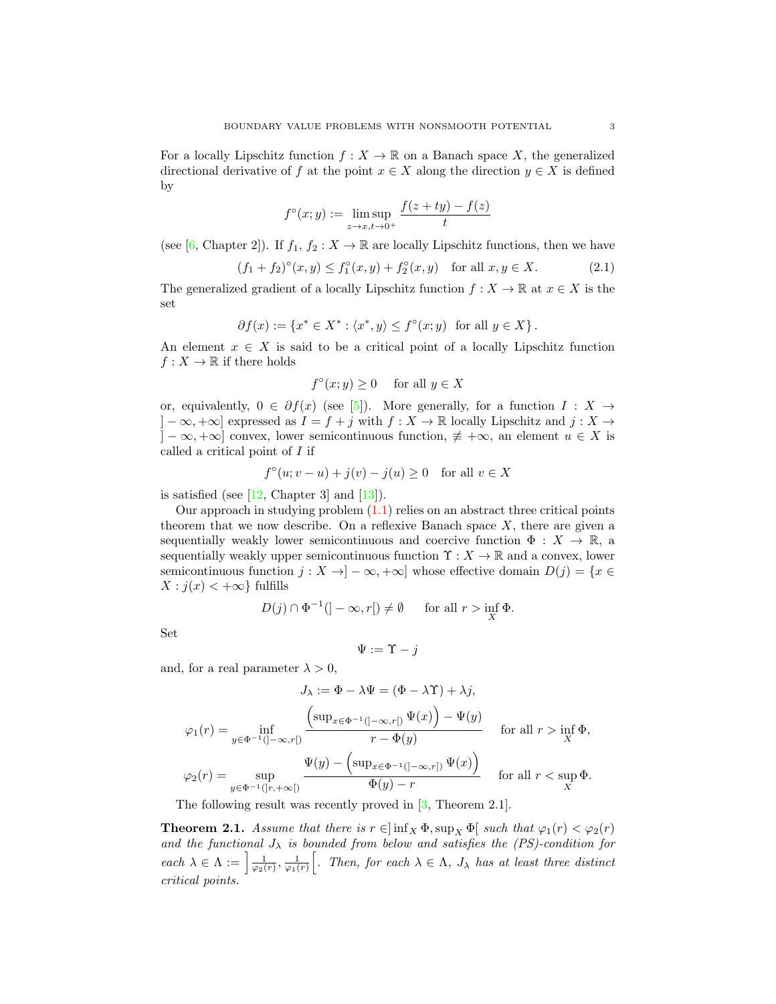For a locally Lipschitz function  $f: X \to \mathbb{R}$  on a Banach space X, the generalized directional derivative of f at the point  $x \in X$  along the direction  $y \in X$  is defined by

$$
f^{\circ}(x; y) := \limsup_{z \to x, t \to 0^+} \frac{f(z + ty) - f(z)}{t}
$$

(see [\[6,](#page-10-10) Chapter 2]). If  $f_1, f_2 : X \to \mathbb{R}$  are locally Lipschitz functions, then we have

$$
(f_1 + f_2)^{\circ}(x, y) \le f_1^{\circ}(x, y) + f_2^{\circ}(x, y) \quad \text{for all } x, y \in X. \tag{2.1}
$$

The generalized gradient of a locally Lipschitz function  $f : X \to \mathbb{R}$  at  $x \in X$  is the set

$$
\partial f(x) := \{ x^* \in X^* : \langle x^*, y \rangle \le f^{\circ}(x; y) \text{ for all } y \in X \}.
$$

An element  $x \in X$  is said to be a critical point of a locally Lipschitz function  $f: X \to \mathbb{R}$  if there holds

<span id="page-2-1"></span>
$$
f^{\circ}(x; y) \ge 0 \quad \text{ for all } y \in X
$$

or, equivalently,  $0 \in \partial f(x)$  (see [\[5\]](#page-10-11)). More generally, for a function  $I : X \rightarrow$  $]-\infty, +\infty]$  expressed as  $I = f + j$  with  $f : X \to \mathbb{R}$  locally Lipschitz and  $j : X \to Y$  $]-\infty, +\infty]$  convex, lower semicontinuous function,  $\notin +\infty$ , an element  $u \in X$  is called a critical point of I if

$$
f^{\circ}(u; v - u) + j(v) - j(u) \ge 0 \quad \text{for all } v \in X
$$

is satisfied (see  $[12,$  Chapter 3] and  $[13]$ ).

Our approach in studying problem  $(1.1)$  relies on an abstract three critical points theorem that we now describe. On a reflexive Banach space  $X$ , there are given a sequentially weakly lower semicontinuous and coercive function  $\Phi : X \to \mathbb{R}$ , a sequentially weakly upper semicontinuous function  $\Upsilon : X \to \mathbb{R}$  and a convex, lower semicontinuous function  $j : X \to ]-\infty, +\infty]$  whose effective domain  $D(j) = \{x \in$  $X : j(x) < +\infty$  fulfills

$$
D(j) \cap \Phi^{-1}(\vert -\infty, r \vert) \neq \emptyset \quad \text{for all } r > \inf_{X} \Phi.
$$

Set

$$
\Psi:=\Upsilon-j
$$

and, for a real parameter  $\lambda > 0$ ,

$$
J_{\lambda} := \Phi - \lambda \Psi = (\Phi - \lambda \Upsilon) + \lambda j,
$$
  

$$
\varphi_1(r) = \inf_{y \in \Phi^{-1}(]-\infty, r[)} \frac{\left(\sup_{x \in \Phi^{-1}(]-\infty, r[)} \Psi(x)\right) - \Psi(y)}{r - \Phi(y)} \quad \text{for all } r > \inf_{X} \Phi,
$$
  

$$
\varphi_2(r) = \sup_{y \in \Phi^{-1}(]-r, +\infty[)} \frac{\Psi(y) - \left(\sup_{x \in \Phi^{-1}(-\infty, r[)} \Psi(x)\right)}{\Phi(y) - r} \quad \text{for all } r < \sup_{X} \Phi.
$$

The following result was recently proved in [\[3,](#page-10-5) Theorem 2.1].

<span id="page-2-0"></span>**Theorem 2.1.** Assume that there is  $r \in \left[\inf_{X} \Phi, \sup_{X} \Phi\right]$  such that  $\varphi_1(r) < \varphi_2(r)$ and the functional  $J_{\lambda}$  is bounded from below and satisfies the (PS)-condition for each  $\lambda \in \Lambda := \left[\frac{1}{\varphi_2(r)}, \frac{1}{\varphi_1(r)}\right]$ . Then, for each  $\lambda \in \Lambda$ ,  $J_\lambda$  has at least three distinct critical points.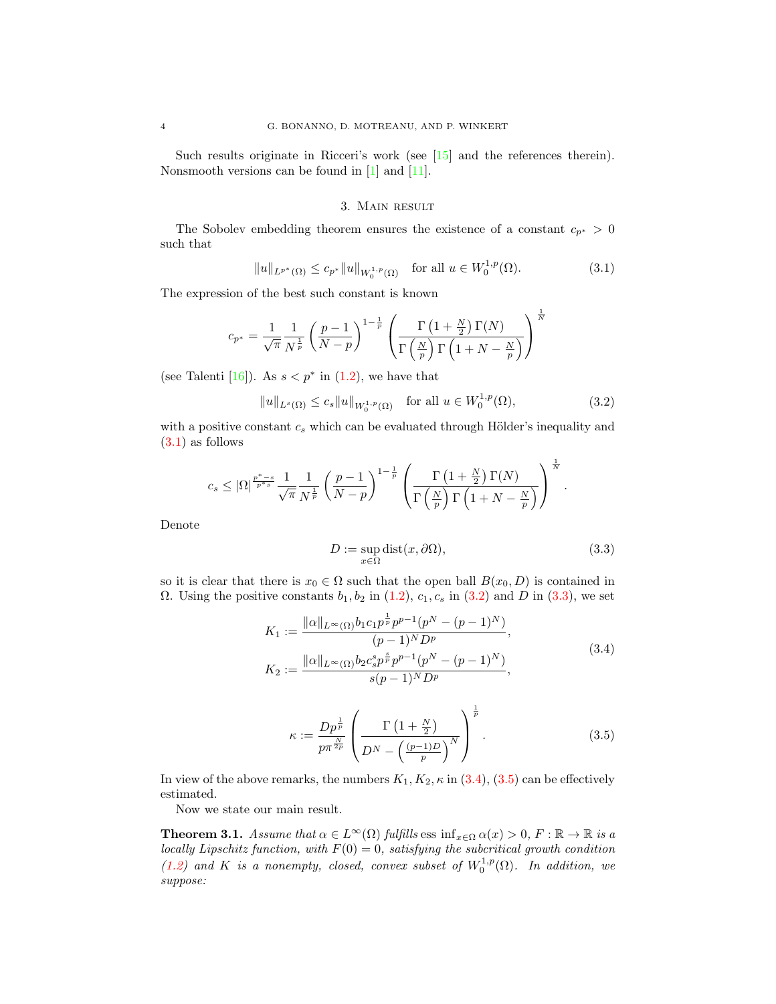Such results originate in Ricceri's work (see [\[15\]](#page-10-2) and the references therein). Nonsmooth versions can be found in [\[1\]](#page-10-3) and [\[11\]](#page-10-8).

# <span id="page-3-2"></span>3. Main result

<span id="page-3-1"></span>The Sobolev embedding theorem ensures the existence of a constant  $c_{p^*} > 0$ such that

$$
||u||_{L^{p^*}(\Omega)} \le c_{p^*} ||u||_{W_0^{1,p}(\Omega)} \quad \text{for all } u \in W_0^{1,p}(\Omega). \tag{3.1}
$$

The expression of the best such constant is known

$$
c_{p^*} = \frac{1}{\sqrt{\pi}} \frac{1}{N^{\frac{1}{p}}} \left(\frac{p-1}{N-p}\right)^{1-\frac{1}{p}} \left(\frac{\Gamma\left(1+\frac{N}{2}\right)\Gamma(N)}{\Gamma\left(\frac{N}{p}\right)\Gamma\left(1+N-\frac{N}{p}\right)}\right)^{\frac{1}{N}}
$$

(see Talenti [\[16\]](#page-10-12)). As  $s < p^*$  in [\(1.2\)](#page-1-0), we have that

$$
||u||_{L^{s}(\Omega)} \leq c_s ||u||_{W_0^{1,p}(\Omega)} \quad \text{for all } u \in W_0^{1,p}(\Omega),
$$
 (3.2)

with a positive constant  $c_s$  which can be evaluated through Hölder's inequality and [\(3.1\)](#page-3-2) as follows

$$
c_s \leq |\Omega|^{\frac{p^*-s}{p^*s}} \frac{1}{\sqrt{\pi}} \frac{1}{N^{\frac{1}{p}}} \left(\frac{p-1}{N-p}\right)^{1-\frac{1}{p}} \left(\frac{\Gamma\left(1+\frac{N}{2}\right)\Gamma(N)}{\Gamma\left(\frac{N}{p}\right)\Gamma\left(1+N-\frac{N}{p}\right)}\right)^{\frac{1}{N}}.
$$

Denote

<span id="page-3-5"></span><span id="page-3-4"></span><span id="page-3-3"></span>
$$
D := \sup_{x \in \Omega} \text{dist}(x, \partial \Omega), \tag{3.3}
$$

so it is clear that there is  $x_0 \in \Omega$  such that the open ball  $B(x_0, D)$  is contained in Ω. Using the positive constants  $b_1, b_2$  in  $(1.2), c_1, c_s$  in  $(3.2)$  and D in  $(3.3)$ , we set

$$
K_1 := \frac{\|\alpha\|_{L^{\infty}(\Omega)} b_1 c_1 p^{\frac{1}{p}} p^{p-1} (p^N - (p-1)^N)}{(p-1)^N D^p},
$$
  
\n
$$
K_2 := \frac{\|\alpha\|_{L^{\infty}(\Omega)} b_2 c_s^s p^{\frac{s}{p}} p^{p-1} (p^N - (p-1)^N)}{s(p-1)^N D^p},
$$
\n(3.4)

<span id="page-3-6"></span>
$$
\kappa := \frac{Dp^{\frac{1}{p}}}{p\pi^{\frac{N}{2p}}} \left( \frac{\Gamma\left(1 + \frac{N}{2}\right)}{D^N - \left(\frac{(p-1)D}{p}\right)^N} \right)^{\frac{1}{p}}.
$$
\n(3.5)

In view of the above remarks, the numbers  $K_1, K_2, \kappa$  in  $(3.4), (3.5)$  $(3.4), (3.5)$  can be effectively estimated.

Now we state our main result.

<span id="page-3-0"></span>**Theorem 3.1.** Assume that  $\alpha \in L^{\infty}(\Omega)$  fulfills ess inf<sub> $x \in \Omega$ </sub>  $\alpha(x) > 0$ ,  $F : \mathbb{R} \to \mathbb{R}$  is a locally Lipschitz function, with  $F(0) = 0$ , satisfying the subcritical growth condition [\(1.2\)](#page-1-0) and K is a nonempty, closed, convex subset of  $W_0^{1,p}(\Omega)$ . In addition, we suppose: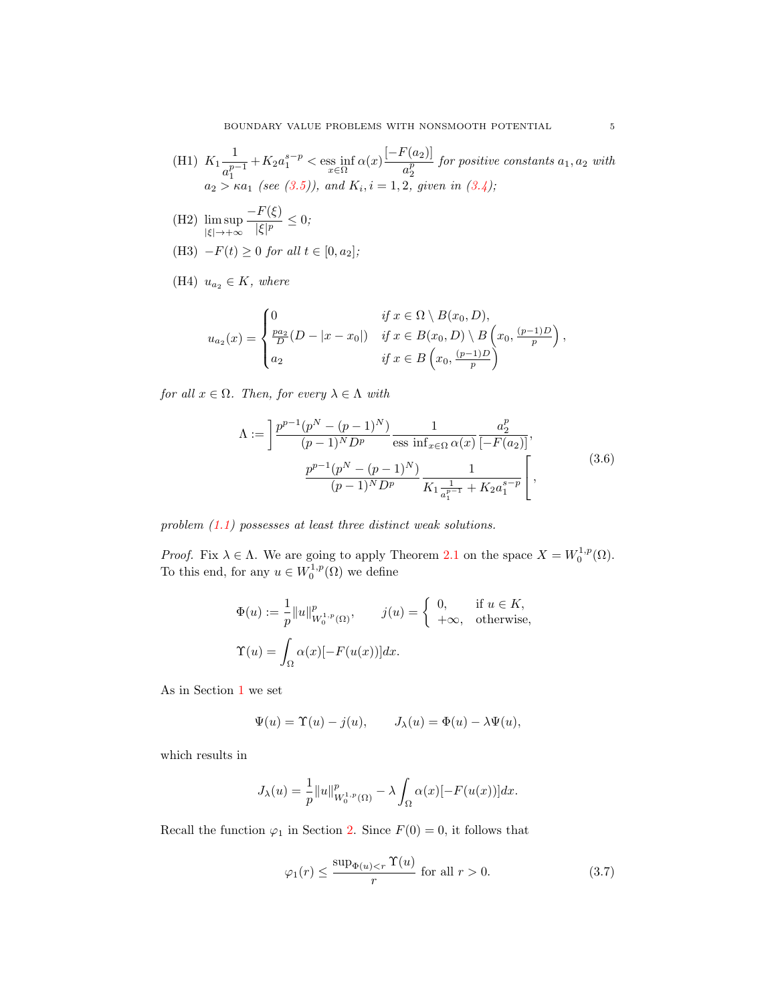(H1) 
$$
K_1 \frac{1}{a_1^{p-1}} + K_2 a_1^{s-p} < \text{ess inf } \alpha(x) \frac{\left[-F(a_2)\right]}{a_2^p} \text{ for positive constants } a_1, a_2 \text{ with}
$$
\n
$$
a_2 > \kappa a_1 \text{ (see (3.5)), and } K_i, i = 1, 2, given in (3.4);
$$

(H2) 
$$
\limsup_{|\xi| \to +\infty} \frac{-F(\xi)}{|\xi|^p} \le 0;
$$

(H3) 
$$
-F(t) \ge 0
$$
 for all  $t \in [0, a_2]$ ;

(H4) 
$$
u_{a_2} \in K
$$
, where

$$
u_{a_2}(x) = \begin{cases} 0 & \text{if } x \in \Omega \setminus B(x_0, D), \\ \frac{pa_2}{D}(D - |x - x_0|) & \text{if } x \in B(x_0, D) \setminus B\left(x_0, \frac{(p-1)D}{p}\right), \\ a_2 & \text{if } x \in B\left(x_0, \frac{(p-1)D}{p}\right) \end{cases}
$$

for all  $x \in \Omega$ . Then, for every  $\lambda \in \Lambda$  with

<span id="page-4-1"></span>
$$
\Lambda := \left[ \frac{p^{p-1}(p^N - (p-1)^N)}{(p-1)^N D^p} \frac{1}{\cos \inf_{x \in \Omega} \alpha(x)} \frac{a_2^p}{[-F(a_2)]}, \frac{p^{p-1}(p^N - (p-1)^N)}{(p-1)^N D^p} \frac{1}{K_1 \frac{1}{a_1^{p-1}} + K_2 a_1^{s-p}} \right],
$$
\n(3.6)

problem  $(1.1)$  possesses at least three distinct weak solutions.

*Proof.* Fix  $\lambda \in \Lambda$ . We are going to apply Theorem [2.1](#page-2-0) on the space  $X = W_0^{1,p}(\Omega)$ . To this end, for any  $u \in W_0^{1,p}(\Omega)$  we define

$$
\Phi(u) := \frac{1}{p} ||u||_{W_0^{1,p}(\Omega)}^p, \qquad j(u) = \begin{cases} 0, & \text{if } u \in K, \\ +\infty, & \text{otherwise,} \end{cases}
$$

$$
\Upsilon(u) = \int_{\Omega} \alpha(x) [-F(u(x))] dx.
$$

As in Section [1](#page-0-1) we set

$$
\Psi(u) = \Upsilon(u) - j(u), \qquad J_{\lambda}(u) = \Phi(u) - \lambda \Psi(u),
$$

which results in

$$
J_{\lambda}(u) = \frac{1}{p} ||u||_{W_0^{1,p}(\Omega)}^p - \lambda \int_{\Omega} \alpha(x) [-F(u(x))] dx.
$$

Recall the function  $\varphi_1$  in Section [2.](#page-1-3) Since  $F(0) = 0$ , it follows that

<span id="page-4-0"></span>
$$
\varphi_1(r) \le \frac{\sup_{\Phi(u) < r} \Upsilon(u)}{r} \text{ for all } r > 0. \tag{3.7}
$$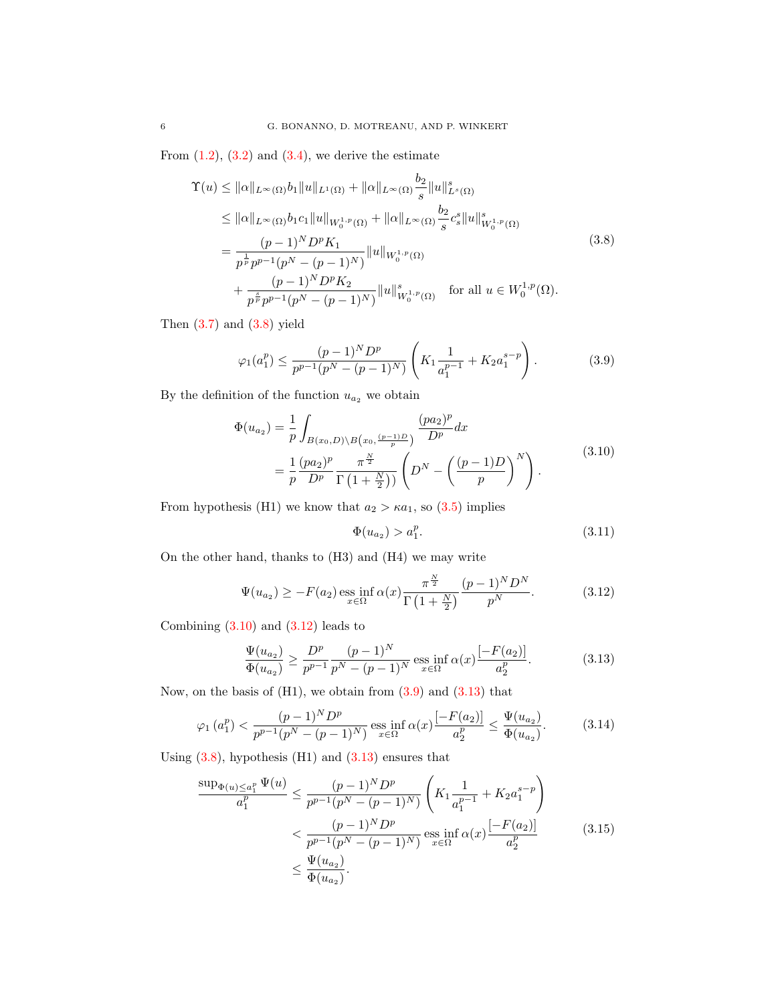From  $(1.2)$ ,  $(3.2)$  and  $(3.4)$ , we derive the estimate

$$
\begin{split} \Upsilon(u) &\leq \|\alpha\|_{L^{\infty}(\Omega)} b_1 \|u\|_{L^1(\Omega)} + \|\alpha\|_{L^{\infty}(\Omega)} \frac{b_2}{s} \|u\|_{L^s(\Omega)}^s \\ &\leq \|\alpha\|_{L^{\infty}(\Omega)} b_1 c_1 \|u\|_{W_0^{1,p}(\Omega)} + \|\alpha\|_{L^{\infty}(\Omega)} \frac{b_2}{s} c_s^s \|u\|_{W_0^{1,p}(\Omega)}^s \\ &\quad= \frac{(p-1)^N D^p K_1}{p^{\frac{1}{p}} p^{p-1} (p^N - (p-1)^N)} \|u\|_{W_0^{1,p}(\Omega)} \\ &\quad + \frac{(p-1)^N D^p K_2}{p^{\frac{s}{p}} p^{p-1} (p^N - (p-1)^N)} \|u\|_{W_0^{1,p}(\Omega)}^s \quad \text{for all } u \in W_0^{1,p}(\Omega). \end{split} \tag{3.8}
$$

Then  $(3.7)$  and  $(3.8)$  yield

<span id="page-5-0"></span>
$$
\varphi_1(a_1^p) \le \frac{(p-1)^N D^p}{p^{p-1}(p^N - (p-1)^N)} \left( K_1 \frac{1}{a_1^{p-1}} + K_2 a_1^{s-p} \right). \tag{3.9}
$$

By the definition of the function  $\boldsymbol{u}_{a_2}$  we obtain

$$
\Phi(u_{a_2}) = \frac{1}{p} \int_{B(x_0, D) \backslash B(x_0, \frac{(p-1)D}{p})} \frac{(pa_2)^p}{D^p} dx \n= \frac{1}{p} \frac{(pa_2)^p}{D^p} \frac{\pi^{\frac{N}{2}}}{\Gamma(1 + \frac{N}{2}))} \left( D^N - \left( \frac{(p-1)D}{p} \right)^N \right).
$$
\n(3.10)

From hypothesis (H1) we know that  $a_2 > \kappa a_1$ , so [\(3.5\)](#page-3-6) implies

<span id="page-5-7"></span><span id="page-5-6"></span><span id="page-5-5"></span><span id="page-5-4"></span><span id="page-5-3"></span><span id="page-5-2"></span><span id="page-5-1"></span>
$$
\Phi(u_{a_2}) > a_1^p. \tag{3.11}
$$

On the other hand, thanks to (H3) and (H4) we may write

$$
\Psi(u_{a_2}) \ge -F(a_2) \underset{x \in \Omega}{\text{ess inf}} \,\alpha(x) \frac{\pi^{\frac{N}{2}}}{\Gamma\left(1 + \frac{N}{2}\right)} \frac{(p-1)^N D^N}{p^N}.\tag{3.12}
$$

Combining  $(3.10)$  and  $(3.12)$  leads to

$$
\frac{\Psi(u_{a_2})}{\Phi(u_{a_2})} \ge \frac{D^p}{p^{p-1}} \frac{(p-1)^N}{p^N - (p-1)^N} \operatorname{ess\,inf}_{x \in \Omega} \alpha(x) \frac{[-F(a_2)]}{a_2^p}.
$$
\n(3.13)

Now, on the basis of  $(H1)$ , we obtain from  $(3.9)$  and  $(3.13)$  that

$$
\varphi_1(a_1^p) < \frac{(p-1)^N D^p}{p^{p-1}(p^N - (p-1)^N)} \operatorname{ess\,inf}_{x \in \Omega} \alpha(x) \frac{\left[-F(a_2)\right]}{a_2^p} \le \frac{\Psi(u_{a_2})}{\Phi(u_{a_2})}.\tag{3.14}
$$

Using  $(3.8)$ , hypothesis  $(H1)$  and  $(3.13)$  ensures that

$$
\frac{\sup_{\Phi(u) \le a_1^p} \Psi(u)}{a_1^p} \le \frac{(p-1)^N D^p}{p^{p-1}(p^N - (p-1)^N)} \left( K_1 \frac{1}{a_1^{p-1}} + K_2 a_1^{s-p} \right)
$$
  

$$
< \frac{(p-1)^N D^p}{p^{p-1}(p^N - (p-1)^N)} \operatorname{ess}_{x \in \Omega} \inf_{a \in \Omega} \alpha(x) \frac{[-F(a_2)]}{a_2^p}
$$
(3.15)  

$$
\le \frac{\Psi(u_{a_2})}{\Phi(u_{a_2})}.
$$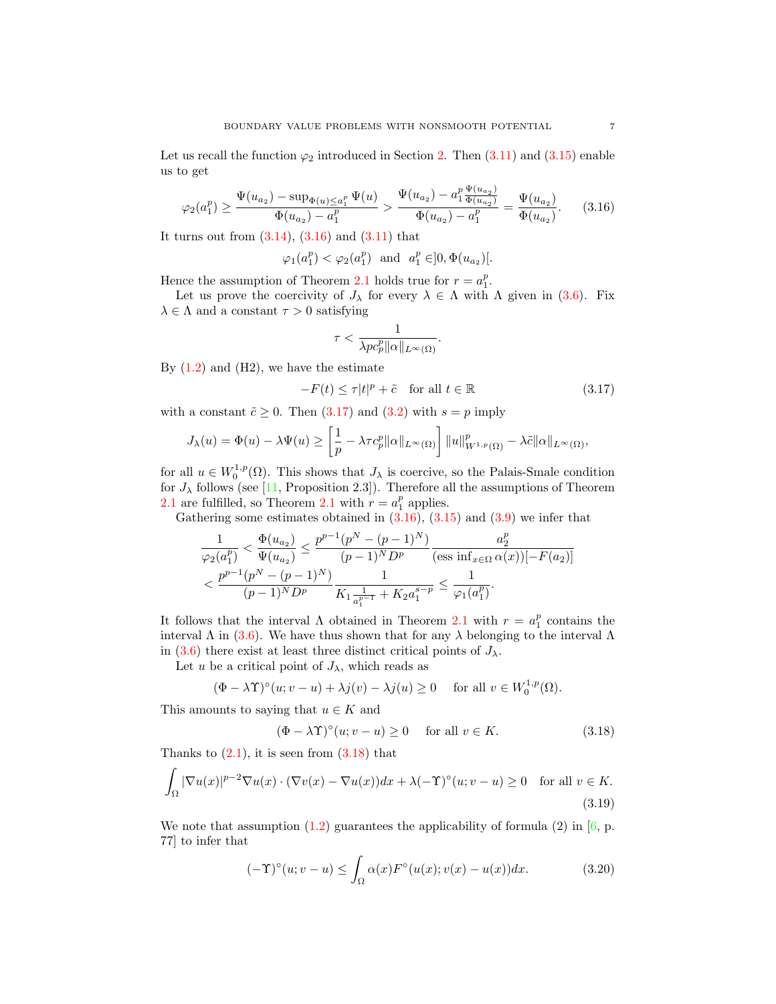Let us recall the function  $\varphi_2$  introduced in Section [2.](#page-1-3) Then  $(3.11)$  and  $(3.15)$  enable us to get

$$
\varphi_2(a_1^p) \ge \frac{\Psi(u_{a_2}) - \sup_{\Phi(u) \le a_1^p} \Psi(u)}{\Phi(u_{a_2}) - a_1^p} > \frac{\Psi(u_{a_2}) - a_1^p \Psi(u_{a_2})}{\Phi(u_{a_2}) - a_1^p} = \frac{\Psi(u_{a_2})}{\Phi(u_{a_2})}.
$$
 (3.16)

It turns out from  $(3.14)$ ,  $(3.16)$  and  $(3.11)$  that

$$
\varphi_1(a_1^p) < \varphi_2(a_1^p)
$$
 and  $a_1^p \in ]0, \Phi(u_{a_2})[$ .

Hence the assumption of Theorem [2.1](#page-2-0) holds true for  $r = a_1^p$ .

Let us prove the coercivity of  $J_\lambda$  for every  $\lambda \in \Lambda$  with  $\Lambda$  given in [\(3.6\)](#page-4-1). Fix  $\lambda \in \Lambda$  and a constant  $\tau > 0$  satisfying

<span id="page-6-1"></span><span id="page-6-0"></span>
$$
\tau < \frac{1}{\lambda p c_p^p \| \alpha \|_{L^\infty(\Omega)}}.
$$

By  $(1.2)$  and  $(H2)$ , we have the estimate

$$
-F(t) \le \tau |t|^p + \tilde{c} \quad \text{for all } t \in \mathbb{R}
$$
 (3.17)

with a constant  $\tilde{c} \geq 0$ . Then  $(3.17)$  and  $(3.2)$  with  $s = p$  imply

$$
J_{\lambda}(u) = \Phi(u) - \lambda \Psi(u) \ge \left[\frac{1}{p} - \lambda \tau c_p^p \|\alpha\|_{L^{\infty}(\Omega)}\right] \|u\|_{W^{1,p}(\Omega)}^p - \lambda \tilde{c}\|\alpha\|_{L^{\infty}(\Omega)},
$$

for all  $u \in W_0^{1,p}(\Omega)$ . This shows that  $J_\lambda$  is coercive, so the Palais-Smale condition for  $J_{\lambda}$  follows (see [\[11,](#page-10-8) Proposition 2.3]). Therefore all the assumptions of Theorem [2.1](#page-2-0) are fulfilled, so Theorem 2.1 with  $r = a_1^p$  applies.

Gathering some estimates obtained in  $(3.16)$ ,  $(3.15)$  and  $(3.9)$  we infer that

$$
\frac{1}{\varphi_2(a_1^p)} < \frac{\Phi(u_{a_2})}{\Psi(u_{a_2})} \le \frac{p^{p-1}(p^N - (p-1)^N)}{(p-1)^N D^p} \frac{a_2^p}{(\text{ess inf}_{x \in \Omega} \alpha(x))[-F(a_2)]}
$$
\n
$$
\frac{p^{p-1}(p^N - (p-1)^N)}{(p-1)^N D^p} \frac{1}{K_1 \frac{1}{a_1^{p-1}} + K_2 a_1^{s-p}} \le \frac{1}{\varphi_1(a_1^p)}.
$$

It follows that the interval  $\Lambda$  obtained in Theorem [2.1](#page-2-0) with  $r = a_1^p$  contains the interval  $\Lambda$  in [\(3.6\)](#page-4-1). We have thus shown that for any  $\lambda$  belonging to the interval  $\Lambda$ in [\(3.6\)](#page-4-1) there exist at least three distinct critical points of  $J_{\lambda}$ .

Let u be a critical point of  $J_{\lambda}$ , which reads as

$$
(\Phi - \lambda \Upsilon)^{\circ}(u; v - u) + \lambda j(v) - \lambda j(u) \ge 0 \quad \text{ for all } v \in W_0^{1, p}(\Omega).
$$

This amounts to saying that  $u \in K$  and

<span id="page-6-4"></span><span id="page-6-3"></span><span id="page-6-2"></span>
$$
(\Phi - \lambda \Upsilon)^{\circ}(u; v - u) \ge 0 \quad \text{ for all } v \in K. \tag{3.18}
$$

Thanks to  $(2.1)$ , it is seen from  $(3.18)$  that

$$
\int_{\Omega} |\nabla u(x)|^{p-2} \nabla u(x) \cdot (\nabla v(x) - \nabla u(x)) dx + \lambda (-\Upsilon)^{\circ}(u; v - u) \ge 0 \quad \text{for all } v \in K.
$$
\n(3.19)

We note that assumption  $(1.2)$  guarantees the applicability of formula  $(2)$  in  $[6, p$ . 77] to infer that

$$
(-\Upsilon)^{\circ}(u;v-u) \leq \int_{\Omega} \alpha(x) F^{\circ}(u(x);v(x)-u(x))dx. \tag{3.20}
$$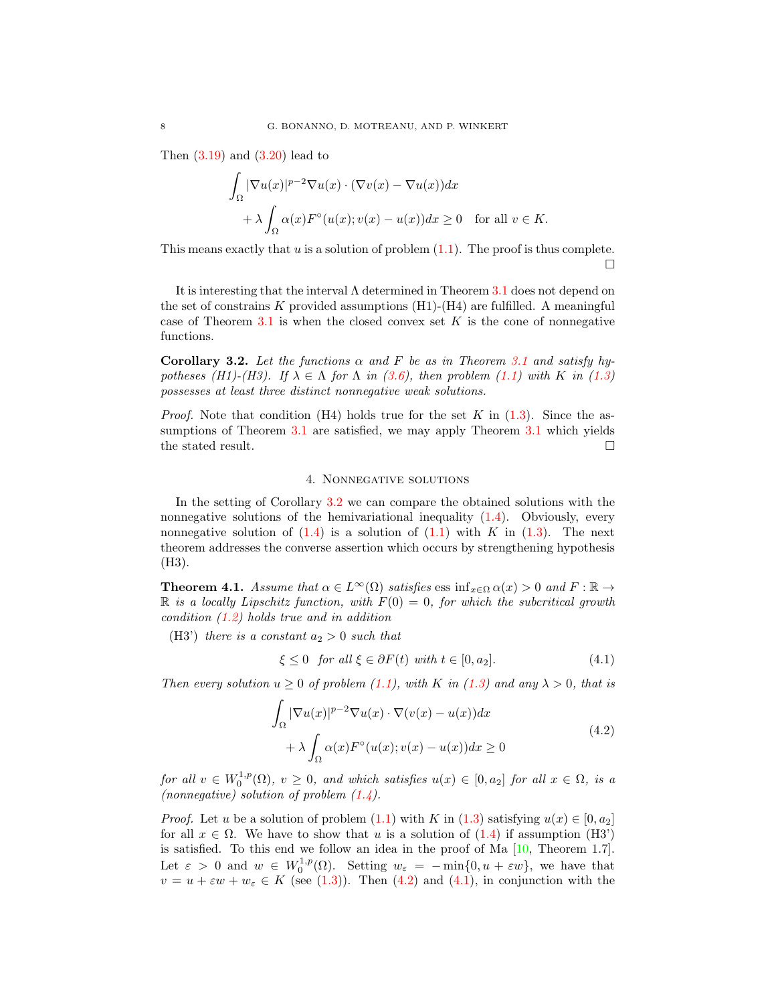Then  $(3.19)$  and  $(3.20)$  lead to

$$
\int_{\Omega} |\nabla u(x)|^{p-2} \nabla u(x) \cdot (\nabla v(x) - \nabla u(x)) dx
$$
  
+  $\lambda \int_{\Omega} \alpha(x) F^{\circ}(u(x); v(x) - u(x)) dx \ge 0 \text{ for all } v \in K.$ 

This means exactly that  $u$  is a solution of problem  $(1.1)$ . The proof is thus complete.  $\Box$ 

It is interesting that the interval  $\Lambda$  determined in Theorem [3.1](#page-3-0) does not depend on the set of constrains  $K$  provided assumptions  $(H1)-(H4)$  are fulfilled. A meaningful case of Theorem [3.1](#page-3-0) is when the closed convex set  $K$  is the cone of nonnegative functions.

<span id="page-7-2"></span>Corollary 3.2. Let the functions  $\alpha$  and F be as in Theorem [3.1](#page-3-0) and satisfy hypotheses (H1)-(H3). If  $\lambda \in \Lambda$  for  $\Lambda$  in [\(3.6\)](#page-4-1), then problem [\(1.1\)](#page-0-0) with K in [\(1.3\)](#page-1-2) possesses at least three distinct nonnegative weak solutions.

*Proof.* Note that condition (H4) holds true for the set K in  $(1.3)$ . Since the as-sumptions of Theorem [3.1](#page-3-0) are satisfied, we may apply Theorem 3.1 which yields the stated result.  $\hfill \square$ 

# 4. Nonnegative solutions

<span id="page-7-1"></span>In the setting of Corollary [3.2](#page-7-2) we can compare the obtained solutions with the nonnegative solutions of the hemivariational inequality [\(1.4\)](#page-1-1). Obviously, every nonnegative solution of  $(1.4)$  is a solution of  $(1.1)$  with K in  $(1.3)$ . The next theorem addresses the converse assertion which occurs by strengthening hypothesis (H3).

<span id="page-7-0"></span>**Theorem 4.1.** Assume that  $\alpha \in L^{\infty}(\Omega)$  satisfies ess inf<sub>x∈Ω</sub>  $\alpha(x) > 0$  and  $F : \mathbb{R} \to$  $\mathbb R$  is a locally Lipschitz function, with  $F(0) = 0$ , for which the subcritical growth condition [\(1.2\)](#page-1-0) holds true and in addition

(H3') there is a constant  $a_2 > 0$  such that

<span id="page-7-4"></span><span id="page-7-3"></span>
$$
\xi \le 0 \quad \text{for all } \xi \in \partial F(t) \text{ with } t \in [0, a_2]. \tag{4.1}
$$

Then every solution  $u \geq 0$  of problem [\(1.1\)](#page-0-0), with K in [\(1.3\)](#page-1-2) and any  $\lambda > 0$ , that is

$$
\int_{\Omega} |\nabla u(x)|^{p-2} \nabla u(x) \cdot \nabla (v(x) - u(x)) dx
$$
\n
$$
+ \lambda \int_{\Omega} \alpha(x) F^{\circ}(u(x); v(x) - u(x)) dx \ge 0
$$
\n(4.2)

for all  $v \in W_0^{1,p}(\Omega)$ ,  $v \geq 0$ , and which satisfies  $u(x) \in [0, a_2]$  for all  $x \in \Omega$ , is a (nonnegative) solution of problem  $(1.4)$ .

*Proof.* Let u be a solution of problem  $(1.1)$  with K in  $(1.3)$  satisfying  $u(x) \in [0, a_2]$ for all  $x \in \Omega$ . We have to show that u is a solution of [\(1.4\)](#page-1-1) if assumption (H3') is satisfied. To this end we follow an idea in the proof of Ma  $[10,$  Theorem 1.7. Let  $\varepsilon > 0$  and  $w \in W_0^{1,p}(\Omega)$ . Setting  $w_{\varepsilon} = -\min\{0, u + \varepsilon w\}$ , we have that  $v = u + \varepsilon w + w_{\varepsilon} \in K$  (see [\(1.3\)](#page-1-2)). Then [\(4.2\)](#page-7-3) and [\(4.1\)](#page-7-4), in conjunction with the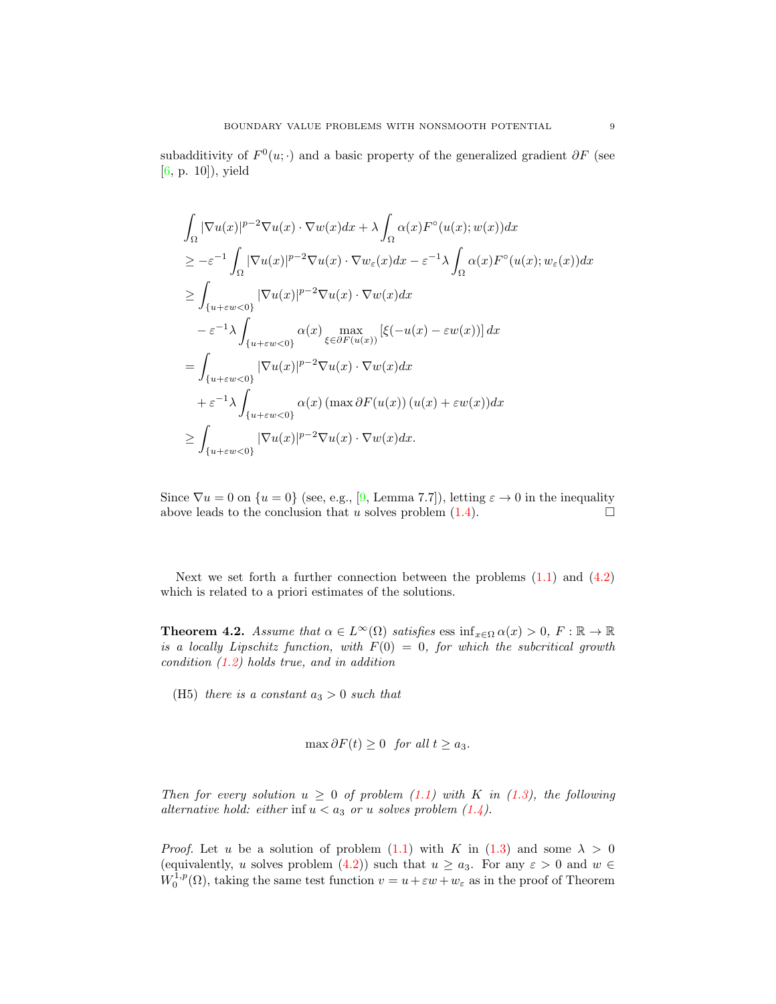subadditivity of  $F^0(u; \cdot)$  and a basic property of the generalized gradient  $\partial F$  (see [\[6,](#page-10-10) p. 10]), yield

$$
\int_{\Omega} |\nabla u(x)|^{p-2} \nabla u(x) \cdot \nabla w(x) dx + \lambda \int_{\Omega} \alpha(x) F^{\circ}(u(x); w(x)) dx
$$
  
\n
$$
\geq -\varepsilon^{-1} \int_{\Omega} |\nabla u(x)|^{p-2} \nabla u(x) \cdot \nabla w_{\varepsilon}(x) dx - \varepsilon^{-1} \lambda \int_{\Omega} \alpha(x) F^{\circ}(u(x); w_{\varepsilon}(x)) dx
$$
  
\n
$$
\geq \int_{\{u + \varepsilon w < 0\}} |\nabla u(x)|^{p-2} \nabla u(x) \cdot \nabla w(x) dx
$$
  
\n
$$
- \varepsilon^{-1} \lambda \int_{\{u + \varepsilon w < 0\}} \alpha(x) \max_{\xi \in \partial F(u(x))} [\xi(-u(x) - \varepsilon w(x))] dx
$$
  
\n
$$
= \int_{\{u + \varepsilon w < 0\}} |\nabla u(x)|^{p-2} \nabla u(x) \cdot \nabla w(x) dx
$$
  
\n
$$
+ \varepsilon^{-1} \lambda \int_{\{u + \varepsilon w < 0\}} \alpha(x) (\max \partial F(u(x)) (u(x) + \varepsilon w(x)) dx
$$
  
\n
$$
\geq \int_{\{u + \varepsilon w < 0\}} |\nabla u(x)|^{p-2} \nabla u(x) \cdot \nabla w(x) dx.
$$

Since  $\nabla u = 0$  on  $\{u = 0\}$  (see, e.g., [\[9,](#page-10-14) Lemma 7.7]), letting  $\varepsilon \to 0$  in the inequality above leads to the conclusion that u solves problem  $(1.4)$ .

Next we set forth a further connection between the problems  $(1.1)$  and  $(4.2)$ which is related to a priori estimates of the solutions.

<span id="page-8-0"></span>**Theorem 4.2.** Assume that  $\alpha \in L^{\infty}(\Omega)$  satisfies ess inf<sub>x∈Ω</sub>  $\alpha(x) > 0$ ,  $F : \mathbb{R} \to \mathbb{R}$ is a locally Lipschitz function, with  $F(0) = 0$ , for which the subcritical growth condition  $(1.2)$  holds true, and in addition

(H5) there is a constant  $a_3 > 0$  such that

$$
\max \partial F(t) \ge 0 \text{ for all } t \ge a_3.
$$

Then for every solution  $u \geq 0$  of problem [\(1.1\)](#page-0-0) with K in [\(1.3\)](#page-1-2), the following alternative hold: either inf  $u < a_3$  or u solves problem  $(1.4)$ .

*Proof.* Let u be a solution of problem  $(1.1)$  with K in  $(1.3)$  and some  $\lambda > 0$ (equivalently, u solves problem [\(4.2\)](#page-7-3)) such that  $u \ge a_3$ . For any  $\varepsilon > 0$  and  $w \in$  $W_0^{1,p}(\Omega)$ , taking the same test function  $v = u + \varepsilon w + w_{\varepsilon}$  as in the proof of Theorem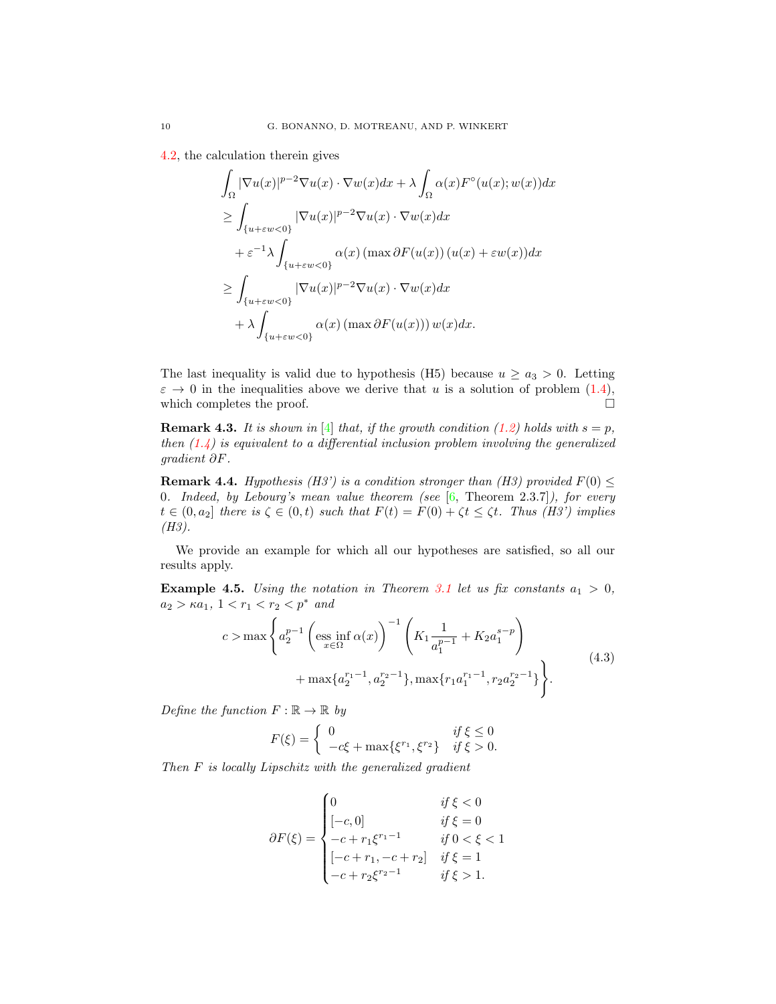[4.2,](#page-8-0) the calculation therein gives

$$
\int_{\Omega} |\nabla u(x)|^{p-2} \nabla u(x) \cdot \nabla w(x) dx + \lambda \int_{\Omega} \alpha(x) F^{\circ}(u(x); w(x)) dx
$$
  
\n
$$
\geq \int_{\{u + \varepsilon w < 0\}} |\nabla u(x)|^{p-2} \nabla u(x) \cdot \nabla w(x) dx
$$
  
\n
$$
+ \varepsilon^{-1} \lambda \int_{\{u + \varepsilon w < 0\}} \alpha(x) (\max \partial F(u(x)) (u(x) + \varepsilon w(x)) dx
$$
  
\n
$$
\geq \int_{\{u + \varepsilon w < 0\}} |\nabla u(x)|^{p-2} \nabla u(x) \cdot \nabla w(x) dx
$$
  
\n
$$
+ \lambda \int_{\{u + \varepsilon w < 0\}} \alpha(x) (\max \partial F(u(x))) w(x) dx.
$$

The last inequality is valid due to hypothesis (H5) because  $u \ge a_3 > 0$ . Letting  $\varepsilon \to 0$  in the inequalities above we derive that u is a solution of problem  $(1.4)$ , which completes the proof.  $\Box$ 

**Remark 4.3.** It is shown in [\[4\]](#page-10-15) that, if the growth condition [\(1.2\)](#page-1-0) holds with  $s = p$ , then  $(1.4)$  is equivalent to a differential inclusion problem involving the generalized gradient ∂F.

<span id="page-9-1"></span>**Remark 4.4.** Hypothesis (H3') is a condition stronger than (H3) provided  $F(0) \leq$ 0. Indeed, by Lebourg's mean value theorem (see  $[6,$  Theorem 2.3.7]), for every  $t \in (0, a_2]$  there is  $\zeta \in (0, t)$  such that  $F(t) = F(0) + \zeta t \leq \zeta t$ . Thus (H3') implies (H3).

We provide an example for which all our hypotheses are satisfied, so all our results apply.

**Example 4.5.** Using the notation in Theorem [3.1](#page-3-0) let us fix constants  $a_1 > 0$ ,  $a_2 > \kappa a_1, \ 1 < r_1 < r_2 < p^*$  and

$$
c > \max \left\{ a_2^{p-1} \left( \underset{x \in \Omega}{\text{ess inf}} \alpha(x) \right)^{-1} \left( K_1 \frac{1}{a_1^{p-1}} + K_2 a_1^{s-p} \right) + \max \{ a_2^{r_1-1}, a_2^{r_2-1} \}, \max \{ r_1 a_1^{r_1-1}, r_2 a_2^{r_2-1} \} \right\}.
$$
\n
$$
(4.3)
$$

Define the function  $F : \mathbb{R} \to \mathbb{R}$  by

<span id="page-9-0"></span>
$$
F(\xi) = \begin{cases} 0 & \text{if } \xi \le 0\\ -c\xi + \max\{\xi^{r_1}, \xi^{r_2}\} & \text{if } \xi > 0. \end{cases}
$$

Then F is locally Lipschitz with the generalized gradient

$$
\partial F(\xi) = \begin{cases}\n0 & \text{if } \xi < 0 \\
[-c, 0] & \text{if } \xi = 0 \\
-c + r_1 \xi^{r_1 - 1} & \text{if } 0 < \xi < 1 \\
[-c + r_1, -c + r_2] & \text{if } \xi = 1 \\
-c + r_2 \xi^{r_2 - 1} & \text{if } \xi > 1.\n\end{cases}
$$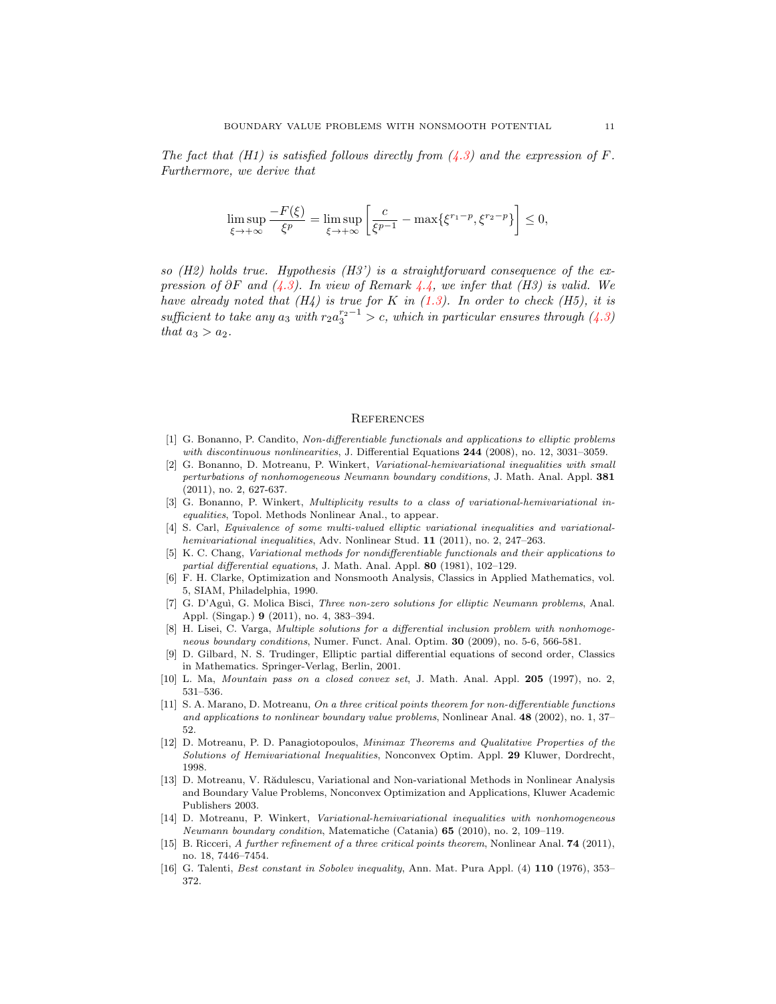The fact that  $(H1)$  is satisfied follows directly from  $(4.3)$  and the expression of F. Furthermore, we derive that

$$
\limsup_{\xi \to +\infty} \frac{-F(\xi)}{\xi^p} = \limsup_{\xi \to +\infty} \left[ \frac{c}{\xi^{p-1}} - \max\{\xi^{r_1-p}, \xi^{r_2-p}\} \right] \le 0,
$$

so  $(H2)$  holds true. Hypothesis  $(H3')$  is a straightforward consequence of the expression of  $\partial F$  and [\(4.3\)](#page-9-0). In view of Remark [4.4,](#page-9-1) we infer that (H3) is valid. We have already noted that  $(H_4)$  is true for K in  $(1.3)$ . In order to check  $(H5)$ , it is sufficient to take any  $a_3$  with  $r_2 a_3^{r_2-1} > c$ , which in particular ensures through  $(4.3)$ that  $a_3 > a_2$ .

#### **REFERENCES**

- <span id="page-10-3"></span>[1] G. Bonanno, P. Candito, Non-differentiable functionals and applications to elliptic problems with discontinuous nonlinearities, J. Differential Equations 244 (2008), no. 12, 3031-3059.
- <span id="page-10-4"></span>[2] G. Bonanno, D. Motreanu, P. Winkert, Variational-hemivariational inequalities with small perturbations of nonhomogeneous Neumann boundary conditions, J. Math. Anal. Appl. 381 (2011), no. 2, 627-637.
- <span id="page-10-5"></span>[3] G. Bonanno, P. Winkert, *Multiplicity results to a class of variational-hemivariational in*equalities, Topol. Methods Nonlinear Anal., to appear.
- <span id="page-10-15"></span>[4] S. Carl, Equivalence of some multi-valued elliptic variational inequalities and variationalhemivariational inequalities, Adv. Nonlinear Stud. 11 (2011), no. 2, 247–263.
- <span id="page-10-11"></span>[5] K. C. Chang, Variational methods for nondifferentiable functionals and their applications to partial differential equations, J. Math. Anal. Appl. 80 (1981), 102–129.
- <span id="page-10-10"></span>[6] F. H. Clarke, Optimization and Nonsmooth Analysis, Classics in Applied Mathematics, vol. 5, SIAM, Philadelphia, 1990.
- <span id="page-10-6"></span>[7] G. D'Aguì, G. Molica Bisci, *Three non-zero solutions for elliptic Neumann problems*, Anal. Appl. (Singap.) 9 (2011), no. 4, 383–394.
- <span id="page-10-7"></span>[8] H. Lisei, C. Varga, Multiple solutions for a differential inclusion problem with nonhomogeneous boundary conditions, Numer. Funct. Anal. Optim. 30 (2009), no. 5-6, 566-581.
- <span id="page-10-14"></span>[9] D. Gilbard, N. S. Trudinger, Elliptic partial differential equations of second order, Classics in Mathematics. Springer-Verlag, Berlin, 2001.
- <span id="page-10-13"></span>[10] L. Ma, Mountain pass on a closed convex set, J. Math. Anal. Appl. 205 (1997), no. 2, 531–536.
- <span id="page-10-8"></span>[11] S. A. Marano, D. Motreanu, On a three critical points theorem for non-differentiable functions and applications to nonlinear boundary value problems, Nonlinear Anal. 48 (2002), no. 1, 37– 52.
- <span id="page-10-0"></span>[12] D. Motreanu, P. D. Panagiotopoulos, Minimax Theorems and Qualitative Properties of the Solutions of Hemivariational Inequalities, Nonconvex Optim. Appl. 29 Kluwer, Dordrecht, 1998.
- <span id="page-10-1"></span>[13] D. Motreanu, V. Rădulescu, Variational and Non-variational Methods in Nonlinear Analysis and Boundary Value Problems, Nonconvex Optimization and Applications, Kluwer Academic Publishers 2003.
- <span id="page-10-9"></span>[14] D. Motreanu, P. Winkert, Variational-hemivariational inequalities with nonhomogeneous Neumann boundary condition, Matematiche (Catania) 65 (2010), no. 2, 109–119.
- <span id="page-10-2"></span>[15] B. Ricceri, A further refinement of a three critical points theorem, Nonlinear Anal. **74** (2011), no. 18, 7446–7454.
- <span id="page-10-12"></span>[16] G. Talenti, Best constant in Sobolev inequality, Ann. Mat. Pura Appl. (4) 110 (1976), 353– 372.